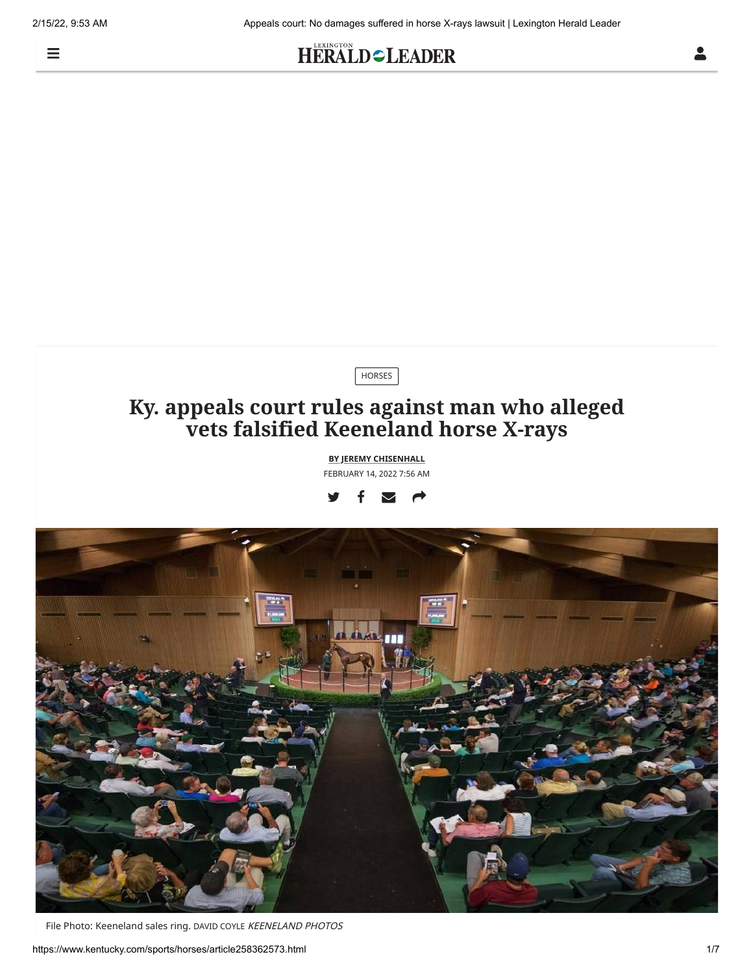$\equiv$ 

## HERALD=LEADER



File Photo: Keeneland sales ring. DAVID COYLE KEENELAND PHOTOS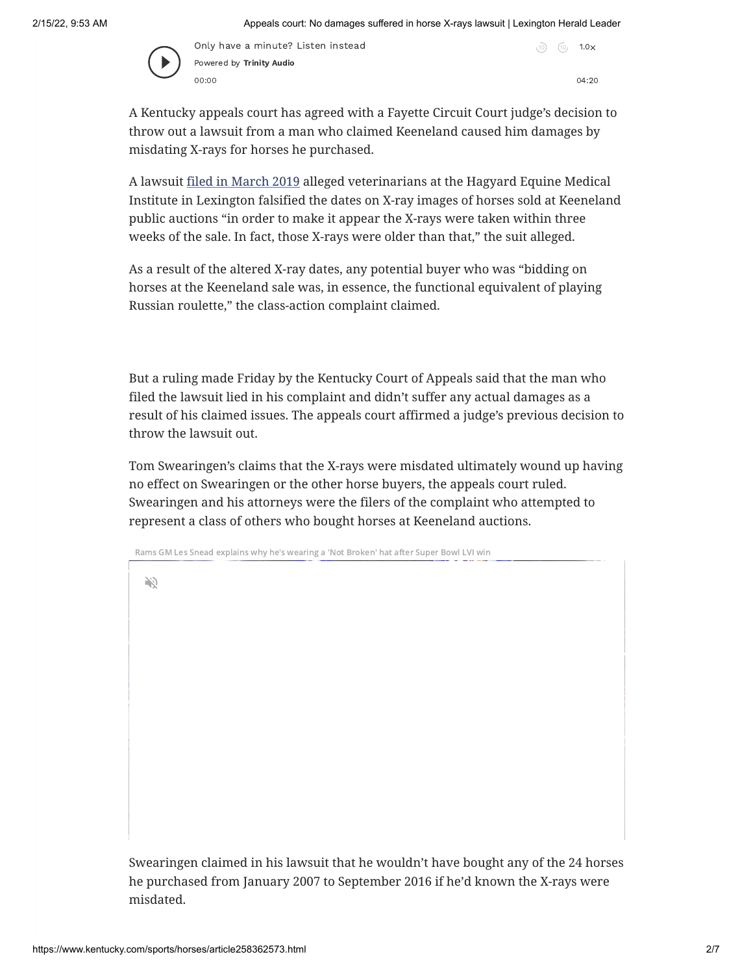

Only have a minute? Listen instead Powered by [Trinity](https://trinityaudio.ai/?utm_source=https%3A%2F%2Fwww.kentucky.com&utm_medium=player%2520lin) Audio 00:00 04:20

 $10$   $10$   $1.0x$ 

A Kentucky appeals court has agreed with a Fayette Circuit Court judge's decision to throw out a lawsuit from a man who claimed Keeneland caused him damages by misdating X-rays for horses he purchased.

A lawsuit [filed in March 2019](https://www.kentucky.com/news/local/counties/fayette-county/article225947370.html) alleged veterinarians at the Hagyard Equine Medical Institute in Lexington falsified the dates on X-ray images of horses sold at Keeneland public auctions "in order to make it appear the X-rays were taken within three weeks of the sale. In fact, those X-rays were older than that," the suit alleged.

As a result of the altered X-ray dates, any potential buyer who was "bidding on horses at the Keeneland sale was, in essence, the functional equivalent of playing Russian roulette," the class-action complaint claimed.

But a ruling made Friday by the Kentucky Court of Appeals said that the man who filed the lawsuit lied in his complaint and didn't suffer any actual damages as a result of his claimed issues. The appeals court affirmed a judge's previous decision to throw the lawsuit out.

Tom Swearingen's claims that the X-rays were misdated ultimately wound up having no effect on Swearingen or the other horse buyers, the appeals court ruled. Swearingen and his attorneys were the filers of the complaint who attempted to represent a class of others who bought horses at Keeneland auctions.

Rams GM Les Snead explains why he's wearing a 'Not Broken' hat after Super Bowl LVI win

V)

Swearingen claimed in his lawsuit that he wouldn't have bought any of the 24 horses he purchased from January 2007 to September 2016 if he'd known the X-rays were misdated.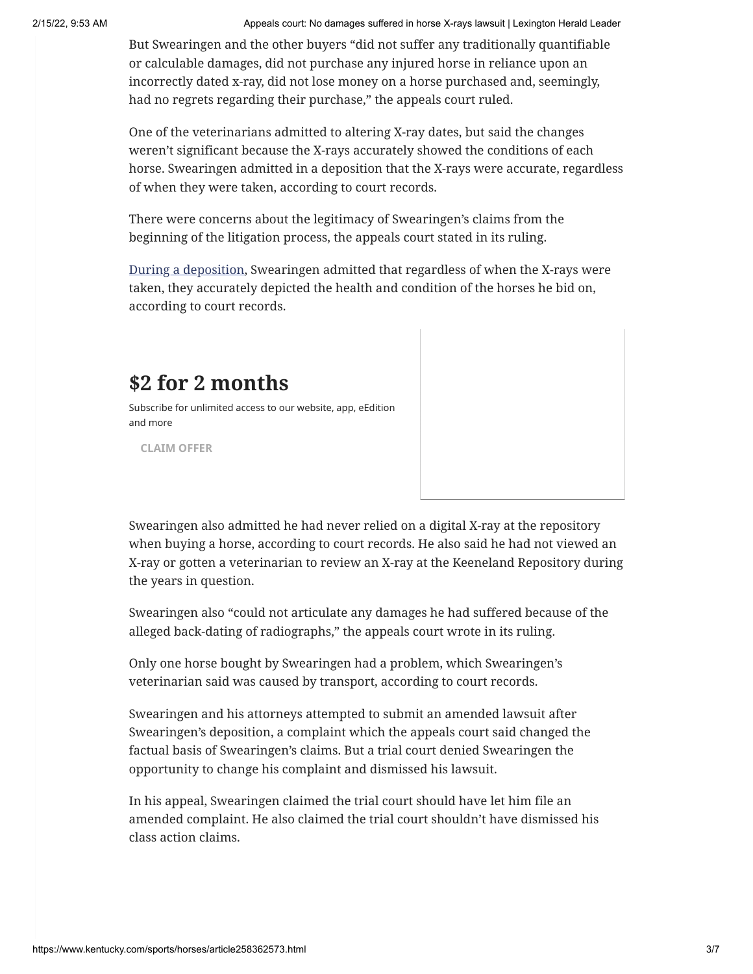2/15/22, 9:53 AM Appeals court: No damages suffered in horse X-rays lawsuit | Lexington Herald Leader

But Swearingen and the other buyers "did not suffer any traditionally quantifiable or calculable damages, did not purchase any injured horse in reliance upon an incorrectly dated x-ray, did not lose money on a horse purchased and, seemingly, had no regrets regarding their purchase," the appeals court ruled.

One of the veterinarians admitted to altering X-ray dates, but said the changes weren't significant because the X-rays accurately showed the conditions of each horse. Swearingen admitted in a deposition that the X-rays were accurate, regardless of when they were taken, according to court records.

There were concerns about the legitimacy of Swearingen's claims from the beginning of the litigation process, the appeals court stated in its ruling.

[During a deposition,](https://www.kentucky.com/news/local/counties/fayette-county/article240400196.html) Swearingen admitted that regardless of when the X-rays were taken, they accurately depicted the health and condition of the horses he bid on, according to court records.

## **\$2 for 2 months**

Subscribe for unlimited access to our website, app, eEdition and more

**[CLAIM OFFER](https://mycheckout.kentucky.com/subscribe?ofrgp_id=395&g2i_or_o=OnSite&g2i_or_p=CTA&cid=cta_dynamic-zone_default_.99-2mos-15.99_202202)**

Swearingen also admitted he had never relied on a digital X-ray at the repository when buying a horse, according to court records. He also said he had not viewed an X-ray or gotten a veterinarian to review an X-ray at the Keeneland Repository during the years in question.

Swearingen also "could not articulate any damages he had suffered because of the alleged back-dating of radiographs," the appeals court wrote in its ruling.

Only one horse bought by Swearingen had a problem, which Swearingen's veterinarian said was caused by transport, according to court records.

Swearingen and his attorneys attempted to submit an amended lawsuit after Swearingen's deposition, a complaint which the appeals court said changed the factual basis of Swearingen's claims. But a trial court denied Swearingen the opportunity to change his complaint and dismissed his lawsuit.

In his appeal, Swearingen claimed the trial court should have let him file an amended complaint. He also claimed the trial court shouldn't have dismissed his class action claims.